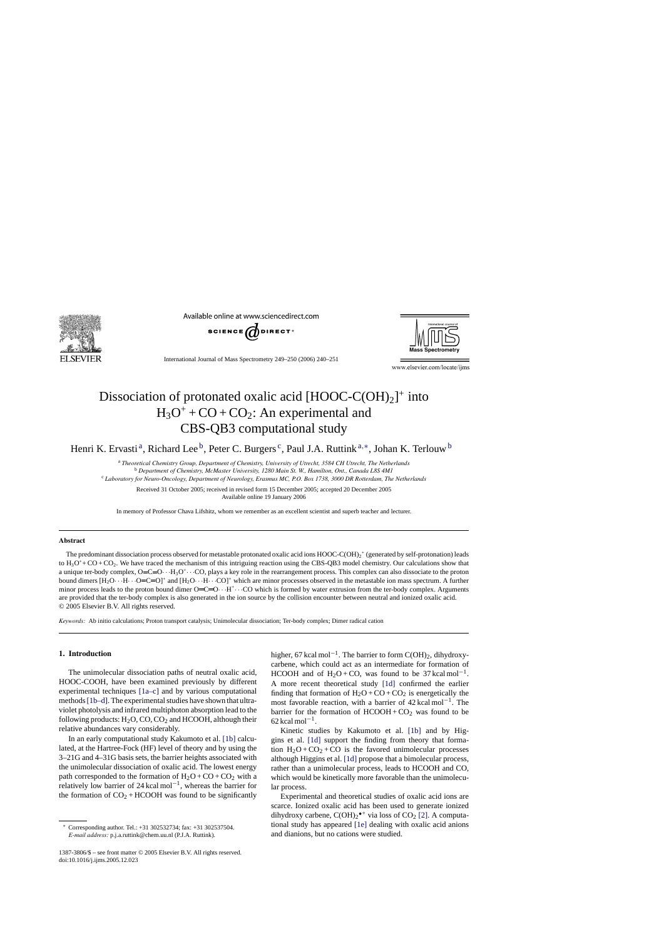

Available online at www.sciencedirect.com





International Journal of Mass Spectrometry 249–250 (2006) 240–251

www.elsevier.com/locate/ijms

# Dissociation of protonated oxalic acid  $[HOOC-C(OH)_2]^+$  into  $H_3O^+$  + CO + CO<sub>2</sub>: An experimental and CBS-QB3 computational study

Henri K. Ervasti<sup>a</sup>, Richard Lee<sup>b</sup>, Peter C. Burgers<sup>c</sup>, Paul J.A. Ruttink<sup>a,\*</sup>, Johan K. Terlouw<sup>b</sup>

<sup>a</sup> *Theoretical Chemistry Group, Department of Chemistry, University of Utrecht, 3584 CH Utrecht, The Netherlands*

<sup>b</sup> *Department of Chemistry, McMaster University, 1280 Main St. W., Hamilton, Ont., Canada L8S 4M1*

<sup>c</sup> *Laboratory for Neuro-Oncology, Department of Neurology, Erasmus MC, P.O. Box 1738, 3000 DR Rotterdam, The Netherlands*

Received 31 October 2005; received in revised form 15 December 2005; accepted 20 December 2005 Available online 19 January 2006

In memory of Professor Chava Lifshitz, whom we remember as an excellent scientist and superb teacher and lecturer.

#### **Abstract**

The predominant dissociation process observed for metastable protonated oxalic acid ions  $HOOC-C(OH)_2$ <sup>+</sup> (generated by self-protonation) leads to  $H_3O^+$ + CO + CO<sub>2</sub>. We have traced the mechanism of this intriguing reaction using the CBS-QB3 model chemistry. Our calculations show that a unique ter-body complex,  $O=C=O \cdot \cdot H_3O^+ \cdot \cdot \cdot CO$ , plays a key role in the rearrangement process. This complex can also dissociate to the proton bound dimers  $[H_2O\cdots H\cdots O=C=O]^+$  and  $[H_2O\cdots H\cdots CO]^+$  which are minor processes observed in the metastable ion mass spectrum. A further minor process leads to the proton bound dimer  $O=C=O \cdot \cdot H^+ \cdot \cdot CO$  which is formed by water extrusion from the ter-body complex. Arguments are provided that the ter-body complex is also generated in the ion source by the collision encounter between neutral and ionized oxalic acid. © 2005 Elsevier B.V. All rights reserved.

*Keywords:* Ab initio calculations; Proton transport catalysis; Unimolecular dissociation; Ter-body complex; Dimer radical cation

### **1. Introduction**

The unimolecular dissociation paths of neutral oxalic acid, HOOC-COOH, have been examined previously by different experimental techniques [\[1a–c\]](#page-10-0) and by various computational methods[\[1b–d\]. T](#page-10-0)he experimental studies have shown that ultraviolet photolysis and infrared multiphoton absorption lead to the following products:  $H_2O$ , CO, CO<sub>2</sub> and HCOOH, although their relative abundances vary considerably.

In an early computational study Kakumoto et al. [\[1b\]](#page-10-0) calculated, at the Hartree-Fock (HF) level of theory and by using the 3–21G and 4–31G basis sets, the barrier heights associated with the unimolecular dissociation of oxalic acid. The lowest energy path corresponded to the formation of  $H_2O + CO + CO_2$  with a relatively low barrier of 24 kcal mol−1, whereas the barrier for the formation of  $CO<sub>2</sub> + HCOOH$  was found to be significantly

higher, 67 kcal mol<sup>-1</sup>. The barrier to form C(OH)<sub>2</sub>, dihydroxycarbene, which could act as an intermediate for formation of HCOOH and of H<sub>2</sub>O + CO, was found to be 37 kcal mol<sup>-1</sup>. A more recent theoretical study [\[1d\]](#page-10-0) confirmed the earlier finding that formation of  $H_2O + CO + CO_2$  is energetically the most favorable reaction, with a barrier of 42 kcal mol−1. The barrier for the formation of  $HCOOH + CO<sub>2</sub>$  was found to be  $62$  kcal mol<sup>-1</sup>.

Kinetic studies by Kakumoto et al. [\[1b\]](#page-10-0) and by Higgins et al. [\[1d\]](#page-10-0) support the finding from theory that formation  $H_2O + CO_2 + CO$  is the favored unimolecular processes although Higgins et al. [\[1d\]](#page-10-0) propose that a bimolecular process, rather than a unimolecular process, leads to HCOOH and CO, which would be kinetically more favorable than the unimolecular process.

Experimental and theoretical studies of oxalic acid ions are scarce. Ionized oxalic acid has been used to generate ionized dihydroxy carbene,  $C(OH)_2^{\bullet+}$  via loss of  $CO_2$  [\[2\]. A](#page-10-0) computational study has appeared [\[1e\]](#page-10-0) dealing with oxalic acid anions and dianions, but no cations were studied.

<sup>∗</sup> Corresponding author. Tel.: +31 302532734; fax: +31 302537504. *E-mail address:* p.j.a.ruttink@chem.uu.nl (P.J.A. Ruttink).

<sup>1387-3806/\$ –</sup> see front matter © 2005 Elsevier B.V. All rights reserved. doi:10.1016/j.ijms.2005.12.023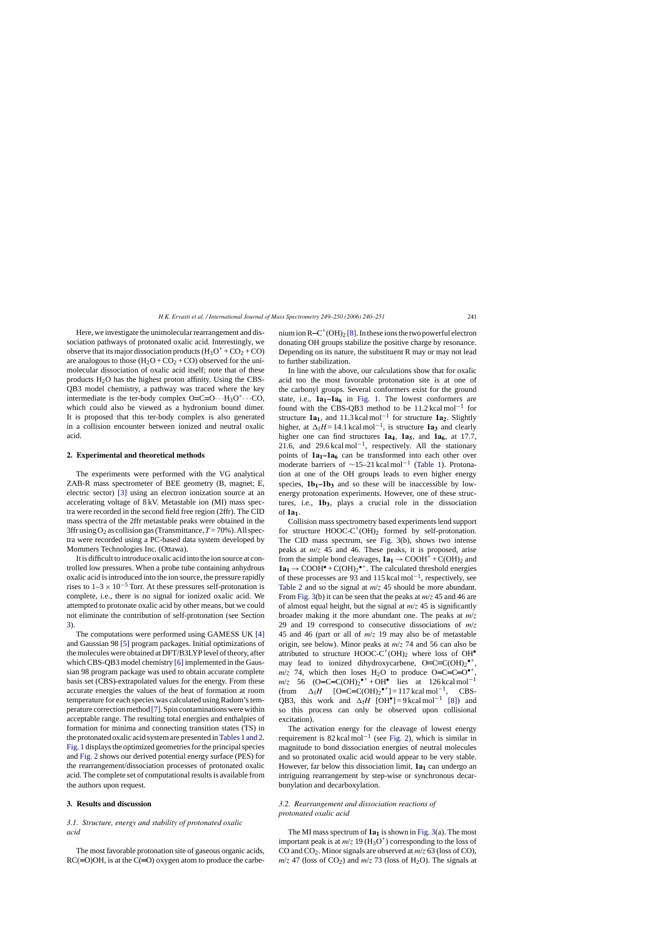<span id="page-1-0"></span>Here, we investigate the unimolecular rearrangement and dissociation pathways of protonated oxalic acid. Interestingly, we observe that its major dissociation products  $(H_3O^+ + CO_2 + CO)$ are analogous to those  $(H_2O + CO_2 + CO)$  observed for the unimolecular dissociation of oxalic acid itself; note that of these products  $H_2O$  has the highest proton affinity. Using the CBS-QB3 model chemistry, a pathway was traced where the key intermediate is the ter-body complex  $O=C=O \cdot \cdot H_3O^+ \cdot \cdot \cdot CO$ , which could also be viewed as a hydronium bound dimer. It is proposed that this ter-body complex is also generated in a collision encounter between ionized and neutral oxalic acid.

#### **2. Experimental and theoretical methods**

The experiments were performed with the VG analytical ZAB-R mass spectrometer of BEE geometry (B, magnet; E, electric sector) [\[3\]](#page-10-0) using an electron ionization source at an accelerating voltage of 8 kV. Metastable ion (MI) mass spectra were recorded in the second field free region (2ffr). The CID mass spectra of the 2ffr metastable peaks were obtained in the 3ffr using  $O_2$  as collision gas (Transmittance,  $T = 70\%$ ). All spectra were recorded using a PC-based data system developed by Mommers Technologies Inc. (Ottawa).

It is difficult to introduce oxalic acid into the ion source at controlled low pressures. When a probe tube containing anhydrous oxalic acid is introduced into the ion source, the pressure rapidly rises to  $1-3 \times 10^{-5}$  Torr. At these pressures self-protonation is complete, i.e., there is no signal for ionized oxalic acid. We attempted to protonate oxalic acid by other means, but we could not eliminate the contribution of self-protonation (see Section 3).

The computations were performed using GAMESS UK [\[4\]](#page-10-0) and Gaussian 98 [\[5\]](#page-10-0) program packages. Initial optimizations of the molecules were obtained at DFT/B3LYP level of theory, after which CBS-QB3 model chemistry [\[6\]](#page-11-0) implemented in the Gaussian 98 program package was used to obtain accurate complete basis set (CBS)-extrapolated values for the energy. From these accurate energies the values of the heat of formation at room temperature for each species was calculated using Radom's temperature correction method [\[7\]. S](#page-11-0)pin contaminations were within acceptable range. The resulting total energies and enthalpies of formation for minima and connecting transition states (TS) in the protonated oxalic acid system are presented in [Tables 1 and 2.](#page-2-0) [Fig. 1](#page-4-0) displays the optimized geometries for the principal species and [Fig. 2](#page-6-0) shows our derived potential energy surface (PES) for the rearrangement/dissociation processes of protonated oxalic acid. The complete set of computational results is available from the authors upon request.

#### **3. Results and discussion**

# *3.1. Structure, energy and stability of protonated oxalic acid*

The most favorable protonation site of gaseous organic acids,  $RC(=O)OH$ , is at the  $C(=O)$  oxygen atom to produce the carbenium ion  $R - C^+ (OH)_2 [8]$ . In these ions the two powerful electron donating OH groups stabilize the positive charge by resonance. Depending on its nature, the substituent R may or may not lead to further stabilization.

In line with the above, our calculations show that for oxalic acid too the most favorable protonation site is at one of the carbonyl groups. Several conformers exist for the ground state, i.e.,  $1a_1-1a_6$  in [Fig. 1.](#page-4-0) The lowest conformers are found with the CBS-QB3 method to be  $11.2 \text{ kcal mol}^{-1}$  for structure  $1a_1$ , and 11.3 kcal mol<sup>-1</sup> for structure  $1a_2$ . Slightly higher, at  $\Delta_f H = 14.1$  kcal mol<sup>-1</sup>, is structure **1a<sub>3</sub>** and clearly higher one can find structures  $1a_4$ ,  $1a_5$ , and  $1a_6$ , at 17.7, 21.6, and 29.6 kcal mol<sup>-1</sup>, respectively. All the stationary points of  $1a_1-1a_6$  can be transformed into each other over moderate barriers of  $\sim$ 15–21 kcal mol<sup>-1</sup> ([Table 1\)](#page-2-0). Protonation at one of the OH groups leads to even higher energy species,  $1b_1-1b_3$  and so these will be inaccessible by lowenergy protonation experiments. However, one of these structures, i.e., 1b<sub>3</sub>, plays a crucial role in the dissociation of **1a1**.

Collision mass spectrometry based experiments lend support for structure  $HOOC-C^+(OH)_2$  formed by self-protonation. The CID mass spectrum, see [Fig. 3\(](#page-7-0)b), shows two intense peaks at *m*/*z* 45 and 46. These peaks, it is proposed, arise from the simple bond cleavages,  $1a_1 \rightarrow$  COOH<sup>+</sup> + C(OH)<sub>2</sub> and  $1a_1 \rightarrow$  COOH<sup> $\bullet$ </sup> + C(OH)<sub>2</sub><sup> $\bullet$ +</sup>. The calculated threshold energies of these processes are 93 and 115 kcal mol−1, respectively, see [Table 2](#page-3-0) and so the signal at *m*/*z* 45 should be more abundant. From [Fig. 3\(b](#page-7-0)) it can be seen that the peaks at *m*/*z* 45 and 46 are of almost equal height, but the signal at *m*/*z* 45 is significantly broader making it the more abundant one. The peaks at *m*/*z* 29 and 19 correspond to consecutive dissociations of *m*/*z* 45 and 46 (part or all of *m*/*z* 19 may also be of metastable origin, see below). Minor peaks at *m*/*z* 74 and 56 can also be attributed to structure HOOC-C<sup>+</sup>(OH)<sub>2</sub> where loss of OH<sup>•</sup> may lead to ionized dihydroxycarbene,  $O=C=C(OH)_2^{\bullet+}$ ,  $m/z$  74, which then loses H<sub>2</sub>O to produce O=C=C=O<sup>•+</sup>.  $m/z$  56 (O=C=C(OH)<sub>2</sub><sup>•+</sup> + OH<sup>•</sup> lies at 126 kcal mol<sup>-1</sup> (from  $\Delta_f H$  [O=C=C(OH)<sub>2</sub><sup>•+</sup>] = 117 kcal mol<sup>-1</sup>, CBS-QB3, this work and  $\Delta_f H$  [OH•] = 9 kcal mol<sup>-1</sup> [\[8\]\)](#page-11-0) and so this process can only be observed upon collisional excitation).

The activation energy for the cleavage of lowest energy requirement is  $82 \text{ kcal mol}^{-1}$  (see [Fig. 2\),](#page-6-0) which is similar in magnitude to bond dissociation energies of neutral molecules and so protonated oxalic acid would appear to be very stable. However, far below this dissociation limit, **1a**<sub>1</sub> can undergo an intriguing rearrangement by step-wise or synchronous decarbonylation and decarboxylation.

# *3.2. Rearrangement and dissociation reactions of protonated oxalic acid*

The MI mass spectrum of  $1a<sub>1</sub>$  is shown in [Fig. 3\(a](#page-7-0)). The most important peak is at  $m/z$  19 (H<sub>3</sub>O<sup>+</sup>) corresponding to the loss of CO and CO2. Minor signals are observed at *m*/*z* 63 (loss of CO),  $m/z$  47 (loss of CO<sub>2</sub>) and  $m/z$  73 (loss of H<sub>2</sub>O). The signals at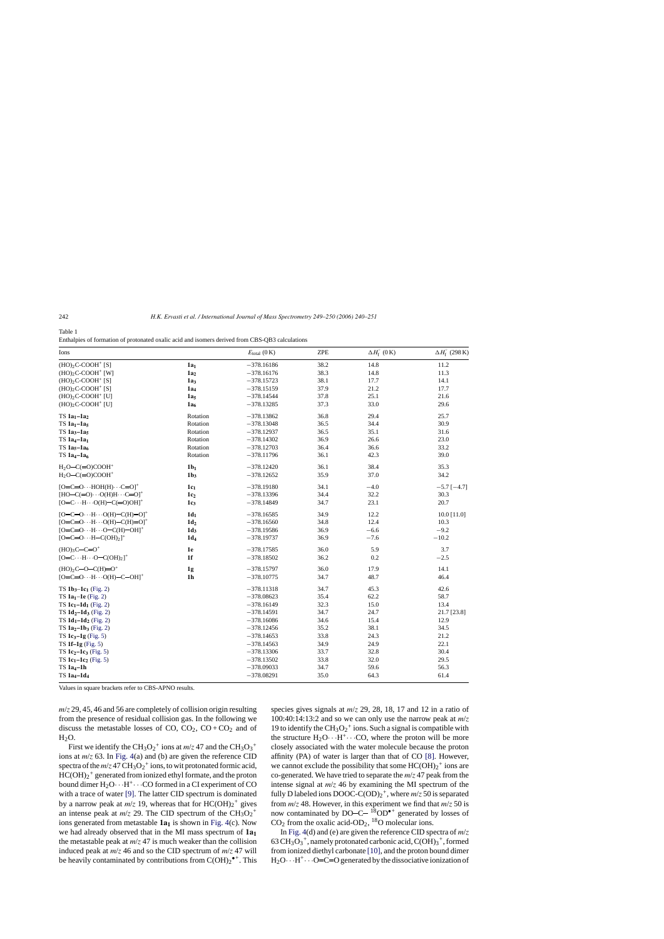<span id="page-2-0"></span>Table 1

Enthalpies of formation of protonated oxalic acid and isomers derived from CBS-QB3 calculations

| Ions                                                               |                 | $E_{\text{total}}(0 \text{ K})$ | <b>ZPE</b> | $\Delta H_{\rm f}^{\circ}$ (0 K) | $\Delta H_{\rm f}^{\circ}$ (298 K) |
|--------------------------------------------------------------------|-----------------|---------------------------------|------------|----------------------------------|------------------------------------|
| $(HO)2C-COOH^+$ [S]                                                | 1a <sub>1</sub> | $-378.16186$                    | 38.2       | 14.8                             | 11.2                               |
| $(HO)2C-COOH+$ [W]                                                 | 1a <sub>2</sub> | $-378.16176$                    | 38.3       | 14.8                             | 11.3                               |
| $(HO)2C-COOH+ [S]$                                                 | 1a <sub>3</sub> | $-378.15723$                    | 38.1       | 17.7                             | 14.1                               |
| $(HO)2C-COOH+ [S]$                                                 | 1a <sub>4</sub> | $-378.15159$                    | 37.9       | 21.2                             | 17.7                               |
| $(HO)2C-COOH+$ [U]                                                 | 1a <sub>5</sub> | $-378.14544$                    | 37.8       | 25.1                             | 21.6                               |
| $(HO)2C-COOH^+$ [U]                                                | 1a <sub>6</sub> | $-378.13285$                    | 37.3       | 33.0                             | 29.6                               |
| $TS$ 1a <sub>1</sub> $-1a_2$                                       | Rotation        | $-378.13862$                    | 36.8       | 29.4                             | 25.7                               |
| TS 1a <sub>1</sub> -1a <sub>5</sub>                                | Rotation        | $-378.13048$                    | 36.5       | 34.4                             | 30.9                               |
| TS 1a <sub>3</sub> -1a <sub>5</sub>                                | Rotation        | $-378.12937$                    | 36.5       | 35.1                             | 31.6                               |
| $TS$ 1a <sub>4</sub> $-1a1$                                        | Rotation        | $-378.14302$                    | 36.9       | 26.6                             | 23.0                               |
| TS $1a_5-1a_6$                                                     | Rotation        | $-378.12703$                    | 36.4       | 36.6                             | 33.2                               |
| TS $1a_4-1a_6$                                                     | Rotation        | $-378.11796$                    | 36.1       | 42.3                             | 39.0                               |
| $H_2O-C(=O)COOH^+$                                                 | 1b <sub>1</sub> | $-378.12420$                    | 36.1       | 38.4                             | 35.3                               |
| $H_2O-C(=O)COOH^+$                                                 | 1b <sub>3</sub> | $-378.12652$                    | 35.9       | 37.0                             | 34.2                               |
| $[O=C=O \cdots HOH(H) \cdots C=O]^+$                               | $1c_1$          | $-378.19180$                    | 34.1       | $-4.0$                           | $-5.7[-4.7]$                       |
| $[HO-C(=0)\cdots O(H)H\cdots C=O]^+$                               | 1c <sub>2</sub> | $-378.13396$                    | 34.4       | 32.2                             | 30.3                               |
| $[O=C \cdots H \cdots O(H) - C(=0)OH]$ <sup>+</sup>                | 1c <sub>3</sub> | $-378.14849$                    | 34.7       | 23.1                             | 20.7                               |
| $[O=C=O \cdot \cdot \cdot H \cdot \cdot \cdot O(H)-C(H)=O]^+$      | $1d_1$          | $-378.16585$                    | 34.9       | 12.2                             | 10.0 [11.0]                        |
| $[O=C=O \cdot \cdot \cdot H \cdot \cdot \cdot O(H)-C(H)=O]^+$      | 1d <sub>2</sub> | $-378.16560$                    | 34.8       | 12.4                             | 10.3                               |
| $[O=C=O \cdot \cdot H \cdot \cdot \cdot O-C(H)$ - OH] <sup>+</sup> | 1d <sub>3</sub> | $-378.19586$                    | 36.9       | $-6.6$                           | $-9.2$                             |
| $[O=C=O \cdot \cdot \cdot H-C(OH)_2]^+$                            | $1d_4$          | $-378.19737$                    | 36.9       | $-7.6$                           | $-10.2$                            |
| $(HO)_{3}C-C=O^{+}$                                                | 1e              | $-378.17585$                    | 36.0       | 5.9                              | 3.7                                |
| $[O=C \cdots H \cdots O-C(OH)_2]^+$                                | 1 <sub>f</sub>  | $-378.18502$                    | 36.2       | 0.2                              | $-2.5$                             |
| $(HO)_{2}C-O-C(H)=O^{+}$                                           | 1g              | $-378.15797$                    | 36.0       | 17.9                             | 14.1                               |
| $[O=C=O \cdot \cdot \cdot H \cdot \cdot \cdot O(H) - C - OH]^+$    | 1 <sub>h</sub>  | $-378.10775$                    | 34.7       | 48.7                             | 46.4                               |
| $TS$ 1b <sub>3</sub> -1c <sub>1</sub> (Fig. 2)                     |                 | $-378.11318$                    | 34.7       | 45.3                             | 42.6                               |
| TS $1a_1-1e$ (Fig. 2)                                              |                 | $-378.08623$                    | 35.4       | 62.2                             | 58.7                               |
| TS $1c_1 - 1d_1$ (Fig. 2)                                          |                 | $-378.16149$                    | 32.3       | 15.0                             | 13.4                               |
| TS $1d_2-1d_3$ (Fig. 2)                                            |                 | $-378.14591$                    | 34.7       | 24.7                             | 21.7 [23.8]                        |
| TS 1d <sub>1</sub> -1d <sub>2</sub> (Fig. 2)                       |                 | $-378.16086$                    | 34.6       | 15.4                             | 12.9                               |
| TS $1a_2-1b_3$ (Fig. 2)                                            |                 | $-378.12456$                    | 35.2       | 38.1                             | 34.5                               |
| TS $1c_3-1g$ (Fig. 5)                                              |                 | $-378.14653$                    | 33.8       | 24.3                             | 21.2                               |
| TS $1f-1g$ (Fig. 5)                                                |                 | $-378.14563$                    | 34.9       | 24.9                             | 22.1                               |
| TS $1c_2-1c_3$ (Fig. 5)                                            |                 | $-378.13306$                    | 33.7       | 32.8                             | 30.4                               |
| TS $1c_1 - 1c_2$ (Fig. 5)                                          |                 | $-378.13502$                    | 33.8       | 32.0                             | 29.5                               |
| $TS$ 1a <sub>4</sub> $-1h$                                         |                 | $-378.09033$                    | 34.7       | 59.6                             | 56.3                               |
| $TS$ 1a <sub>4</sub> $-1d_4$                                       |                 | $-378.08291$                    | 35.0       | 64.3                             | 61.4                               |

Values in square brackets refer to CBS-APNO results.

*m*/*z* 29, 45, 46 and 56 are completely of collision origin resulting from the presence of residual collision gas. In the following we discuss the metastable losses of CO,  $CO_2$ ,  $CO + CO_2$  and of  $H<sub>2</sub>O$ .

First we identify the CH<sub>3</sub>O<sub>2</sub><sup>+</sup> ions at  $m/z$  47 and the CH<sub>3</sub>O<sub>3</sub><sup>+</sup> ions at *m*/*z* 63. In [Fig. 4\(a](#page-8-0)) and (b) are given the reference CID spectra of the  $m/z$  47  $CH_3O_2^+$  ions, to wit protonated formic acid,  $HC(OH)_2^+$  generated from ionized ethyl formate, and the proton bound dimer  $H_2O \cdot H^+ \cdot \cdot CO$  formed in a CI experiment of CO with a trace of water [\[9\].](#page-11-0) The latter CID spectrum is dominated by a narrow peak at  $m/z$  19, whereas that for  $HC(OH)_2^+$  gives an intense peak at  $m/z$  29. The CID spectrum of the  $CH<sub>3</sub>O<sub>2</sub><sup>+</sup>$ ions generated from metastable  $1a<sub>1</sub>$  is shown in [Fig. 4\(c](#page-8-0)). Now we had already observed that in the MI mass spectrum of  $1a<sub>1</sub>$ the metastable peak at  $m/z$  47 is much weaker than the collision induced peak at  $m/z$  46 and so the CID spectrum of  $m/z$  47 will be heavily contaminated by contributions from  $C(OH)_2^{\bullet+}$ . This

species gives signals at *m*/*z* 29, 28, 18, 17 and 12 in a ratio of 100:40:14:13:2 and so we can only use the narrow peak at *m*/*z* 19 to identify the CH<sub>3</sub>O<sub>2</sub><sup>+</sup> ions. Such a signal is compatible with the structure  $H_2O \cdot H^+ \cdot \cdot CO$ , where the proton will be more closely associated with the water molecule because the proton affinity (PA) of water is larger than that of CO [\[8\].](#page-11-0) However, we cannot exclude the possibility that some  $HC(OH)_2^+$  ions are co-generated. We have tried to separate the *m*/*z* 47 peak from the intense signal at *m*/*z* 46 by examining the MI spectrum of the fully D labeled ions DOOC-C(OD)2 +, where *m*/*z* 50 is separated from *m*/*z* 48. However, in this experiment we find that *m*/*z* 50 is now contaminated by DO-C-  $^{18}$ OD<sup> $\bullet$ +</sup> generated by losses of  $CO<sub>2</sub>$  from the oxalic acid-OD<sub>2</sub>, <sup>18</sup>O molecular ions.

In [Fig. 4\(d](#page-8-0)) and (e) are given the reference CID spectra of *m*/*z* 63  $CH_3O_3^+$ , namely protonated carbonic acid,  $C(OH)_3^+$ , formed from ionized diethyl carbonate [\[10\], a](#page-11-0)nd the proton bound dimer  $H_2O \cdot H^+ \cdot \cdot O=C=O$  generated by the dissociative ionization of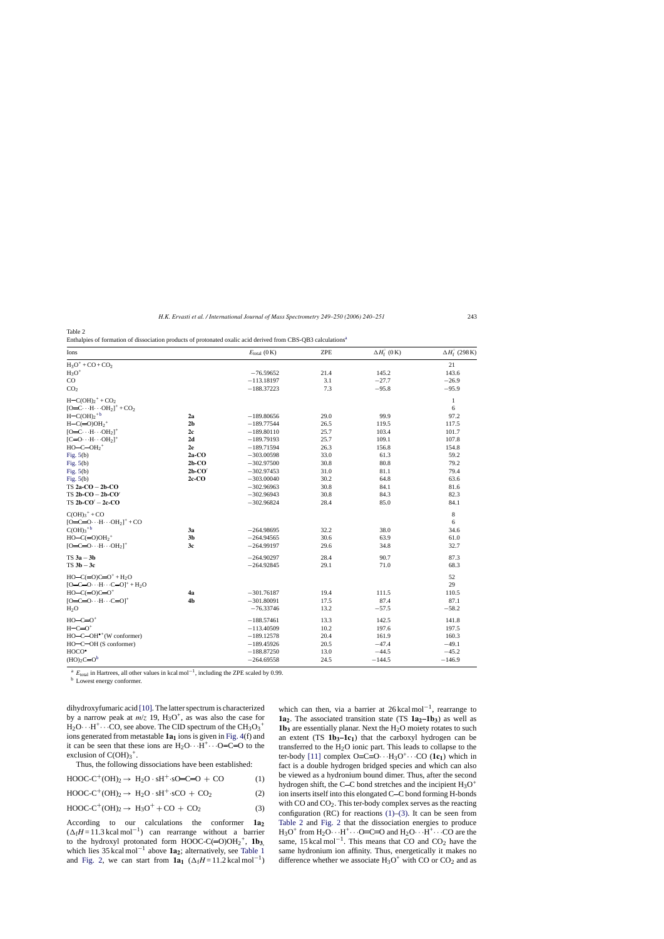Enthalpies of formation of dissociation products of protonated oxalic acid derived from CBS-QB3 calculations<sup>a</sup>

| Ions                                             |                | $E_{\text{total}}(0 \text{ K})$ | <b>ZPE</b> | $\Delta H_{\rm f}^{\circ}$ (0 K) | $\Delta H_{\rm f}^{\circ}$ (298 K) |
|--------------------------------------------------|----------------|---------------------------------|------------|----------------------------------|------------------------------------|
| $H_3O^+ + CO + CO_2$                             |                |                                 |            |                                  | 21                                 |
| $H_3O^+$                                         |                | $-76.59652$                     | 21.4       | 145.2                            | 143.6                              |
| $\rm CO$                                         |                | $-113.18197$                    | 3.1        | $-27.7$                          | $-26.9$                            |
| CO <sub>2</sub>                                  |                | $-188.37223$                    | 7.3        | $-95.8$                          | $-95.9$                            |
| $H = C(OH)2+ + CO2$                              |                |                                 |            |                                  | $\mathbf{1}$                       |
| $[O=C \cdots H \cdots OH_2]^+ + CO_2$            |                |                                 |            |                                  | 6                                  |
| $H-C(OH)2$ <sup>+b</sup>                         | 2a             | $-189.80656$                    | 29.0       | 99.9                             | 97.2                               |
| $H-C(=O)OH2+$                                    | 2 <sub>b</sub> | $-189.77544$                    | 26.5       | 119.5                            | 117.5                              |
| $[O=C \cdots H \cdots OH_2]^+$                   | 2c             | $-189.80110$                    | 25.7       | 103.4                            | 101.7                              |
| $[{\rm C=O}\cdots{\rm H}\cdots{\rm OH}_2]^+$     | 2d             | $-189.79193$                    | 25.7       | 109.1                            | 107.8                              |
| $HO$ -C-OH <sub>2</sub> <sup>+</sup>             | 2e             | $-189.71594$                    | 26.3       | 156.8                            | 154.8                              |
| Fig. $5(b)$                                      | $2a$ -CO       | $-303.00598$                    | 33.0       | 61.3                             | 59.2                               |
| Fig. $5(b)$                                      | $2b$ -CO       | $-302.97500$                    | 30.8       | 80.8                             | 79.2                               |
| Fig. $5(b)$                                      | $2b$ -CO'      | $-302.97453$                    | 31.0       | 81.1                             | 79.4                               |
| Fig. $5(b)$                                      | $2c$ - $CO$    | $-303.00040$                    | 30.2       | 64.8                             | 63.6                               |
| $TS$ 2a- $CO - 2b$ - $CO$                        |                | $-302.96963$                    | 30.8       | 84.1                             | 81.6                               |
| $TS 2b-CO - 2b-CO'$                              |                | $-302.96943$                    | 30.8       | 84.3                             | 82.3                               |
| $TS 2b-CO' - 2c-CO$                              |                | $-302.96824$                    | 28.4       | 85.0                             | 84.1                               |
| $C(OH)3+ + CO$                                   |                |                                 |            |                                  | $\,8\,$                            |
| $[O=C=O \cdots H \cdots OH_2]^+ + CO$            |                |                                 |            |                                  | 6                                  |
| $C(OH)3$ <sup>+b</sup>                           | 3a             | $-264.98695$                    | 32.2       | 38.0                             | 34.6                               |
| $HO-C(=O)OH2+$                                   | 3 <sub>b</sub> | $-264.94565$                    | 30.6       | 63.9                             | 61.0                               |
| $[O=C=O \cdot \cdot H \cdot \cdot \cdot OH_2]^+$ | 3c             | $-264.99197$                    | 29.6       | 34.8                             | 32.7                               |
| $TS 3a - 3b$                                     |                | $-264.90297$                    | 28.4       | 90.7                             | 87.3                               |
| $TS$ 3b $-$ 3c                                   |                | $-264.92845$                    | 29.1       | 71.0                             | 68.3                               |
| $HO - C (=O)C = O^+ + H_2O$                      |                |                                 |            |                                  | 52                                 |
| $[O=C=O \cdots H \cdots C=O]^+ + H_2O$           |                |                                 |            |                                  | 29                                 |
| $HO-C(=0)C=0^+$                                  | 4a             | $-301.76187$                    | 19.4       | 111.5                            | 110.5                              |
| $[O=C=O \cdots H \cdots C=O]^+$                  | 4 <sub>b</sub> | $-301.80091$                    | 17.5       | 87.4                             | 87.1                               |
| H <sub>2</sub> O                                 |                | $-76.33746$                     | 13.2       | $-57.5$                          | $-58.2$                            |
| $HO-C=O^+$                                       |                | $-188.57461$                    | 13.3       | 142.5                            | 141.8                              |
| $H-C=O+$                                         |                | $-113.40509$                    | 10.2       | 197.6                            | 197.5                              |
| $HO$ -C-OH $\bullet$ <sup>+</sup> (W conformer)  |                | $-189.12578$                    | 20.4       | 161.9                            | 160.3                              |
| HO-C-OH (S conformer)                            |                | $-189.45926$                    | 20.5       | $-47.4$                          | $-49.1$                            |
| $HOCO^{\bullet}$                                 |                | $-188.87250$                    | 13.0       | $-44.5$                          | $-45.2$                            |
| $(HO)2C=Ob$                                      |                | $-264.69558$                    | 24.5       | $-144.5$                         | $-146.9$                           |

<sup>a</sup> *E*<sub>total</sub> in Hartrees, all other values in kcal mol<sup>−1</sup>, including the ZPE scaled by 0.99. b Lowest energy conformer.

dihydroxyfumaric acid [\[10\]. T](#page-11-0)he latter spectrum is characterized by a narrow peak at  $m/z$  19,  $H_3O^+$ , as was also the case for  $H_2O \cdots H^+ \cdots CO$ , see above. The CID spectrum of the CH<sub>3</sub>O<sub>3</sub><sup>+</sup> ions generated from metastable **1a**<sub>1</sub> ions is given in [Fig. 4\(f](#page-8-0)) and it can be seen that these ions are  $H_2O \cdot H^+ \cdot \cdot \cdot O=C=O$  to the exclusion of  $C(OH)<sub>3</sub><sup>+</sup>$ .

Thus, the following dissociations have been established:

$$
HOOC-C^{+}(OH)_2 \rightarrow H_2O \cdot sH^{+} \cdot sO=C=O + CO \tag{1}
$$

$$
HOOC-C^{+}(OH)_2 \rightarrow H_2O \cdot sH^{+} \cdot sCO + CO_2 \tag{2}
$$

$$
HOOC-C^{+}(OH)_2 \rightarrow H_3O^{+} + CO + CO_2 \tag{3}
$$

According to our calculations the conformer **1a2**  $(\Delta_f H = 11.3 \text{ kcal mol}^{-1})$  can rearrange without a barrier to the hydroxyl protonated form  $HOOC-C(=O)OH_2^+$ ,  $1b_{3}$ , which lies  $35 \text{ kcal mol}^{-1}$  above **1a**<sub>2</sub>; alternatively, see [Table 1](#page-2-0) and [Fig. 2,](#page-6-0) we can start from  $1a_1$  ( $\Delta_f H = 11.2$  kcal mol<sup>-1</sup>) which can then, via a barrier at  $26 \text{ kcal mol}^{-1}$ , rearrange to 1a<sub>2</sub>. The associated transition state  $(TS_1a_2-1b_3)$  as well as  $1b_3$  are essentially planar. Next the  $H_2O$  moiety rotates to such an extent  $(TS \t1b_3-lc_1)$  that the carboxyl hydrogen can be transferred to the  $H<sub>2</sub>O$  ionic part. This leads to collapse to the ter-body [\[11\]](#page-11-0) complex  $O=C=O \cdots H_3O^+ \cdots CO$  (1c<sub>1</sub>) which in fact is a double hydrogen bridged species and which can also be viewed as a hydronium bound dimer. Thus, after the second hydrogen shift, the C-C bond stretches and the incipient  $H_3O^+$ ion inserts itself into this elongated C-C bond forming H-bonds with  $CO$  and  $CO<sub>2</sub>$ . This ter-body complex serves as the reacting configuration (RC) for reactions  $(1)$ – $(3)$ . It can be seen from Table 2 and [Fig. 2](#page-6-0) that the dissociation energies to produce  $H_3O^+$  from  $H_2O \cdot \cdot \cdot H^+ \cdot \cdot \cdot O=C=O$  and  $H_2O \cdot \cdot \cdot H^+ \cdot \cdot \cdot CO$  are the same, 15 kcal mol<sup>-1</sup>. This means that CO and CO<sub>2</sub> have the same hydronium ion affinity. Thus, energetically it makes no difference whether we associate  $H_3O^+$  with CO or CO<sub>2</sub> and as

<span id="page-3-0"></span>Table 2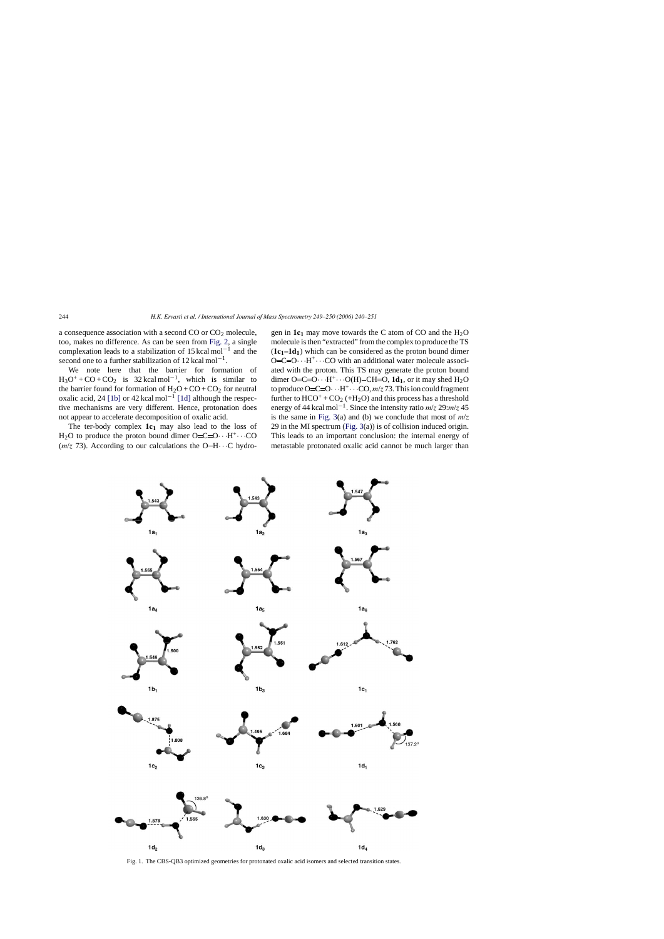<span id="page-4-0"></span>a consequence association with a second  $CO$  or  $CO<sub>2</sub>$  molecule, too, makes no difference. As can be seen from [Fig. 2,](#page-6-0) a single complexation leads to a stabilization of 15 kcal mol<sup>-1</sup> and the second one to a further stabilization of 12 kcal mol<sup>-1</sup>.

We note here that the barrier for formation of  $H_3O^+$  + CO + CO<sub>2</sub> is 32 kcal mol<sup>-1</sup>, which is similar to the barrier found for formation of  $H_2O + CO + CO_2$  for neutral oxalic acid, 24 [\[1b\]](#page-10-0) or 42 kcal mol<sup>-1</sup> [\[1d\]](#page-10-0) although the respective mechanisms are very different. Hence, protonation does not appear to accelerate decomposition of oxalic acid.

The ter-body complex  $1c_1$  may also lead to the loss of  $H_2O$  to produce the proton bound dimer  $O=C=O \cdot \cdot \cdot H^+ \cdot \cdot \cdot CO$  $(m/z)$  73). According to our calculations the O-H $\cdots$ C hydrogen in  $1c_1$  may move towards the C atom of CO and the  $H_2O$ molecule is then "extracted" from the complex to produce the TS  $(1c_1-1d_1)$  which can be considered as the proton bound dimer  $O=C=O \cdot \cdot H^+ \cdot \cdot \cdot CO$  with an additional water molecule associated with the proton. This TS may generate the proton bound dimer O=C=O···H<sup>+</sup>···O(H)–CH=O,  $1d_1$ , or it may shed H<sub>2</sub>O to produce  $O=C=O \cdot \cdot H^+ \cdot \cdot \cdot CO$ ,  $m/z$  73. This ion could fragment further to  $HCO^+ + CO_2$  (+H<sub>2</sub>O) and this process has a threshold energy of 44 kcal mol−1. Since the intensity ratio *m*/*z* 29:*m*/*z* 45 is the same in [Fig. 3\(a](#page-7-0)) and (b) we conclude that most of  $m/z$ 29 in the MI spectrum ([Fig. 3\(a](#page-7-0))) is of collision induced origin. This leads to an important conclusion: the internal energy of metastable protonated oxalic acid cannot be much larger than



Fig. 1. The CBS-QB3 optimized geometries for protonated oxalic acid isomers and selected transition states.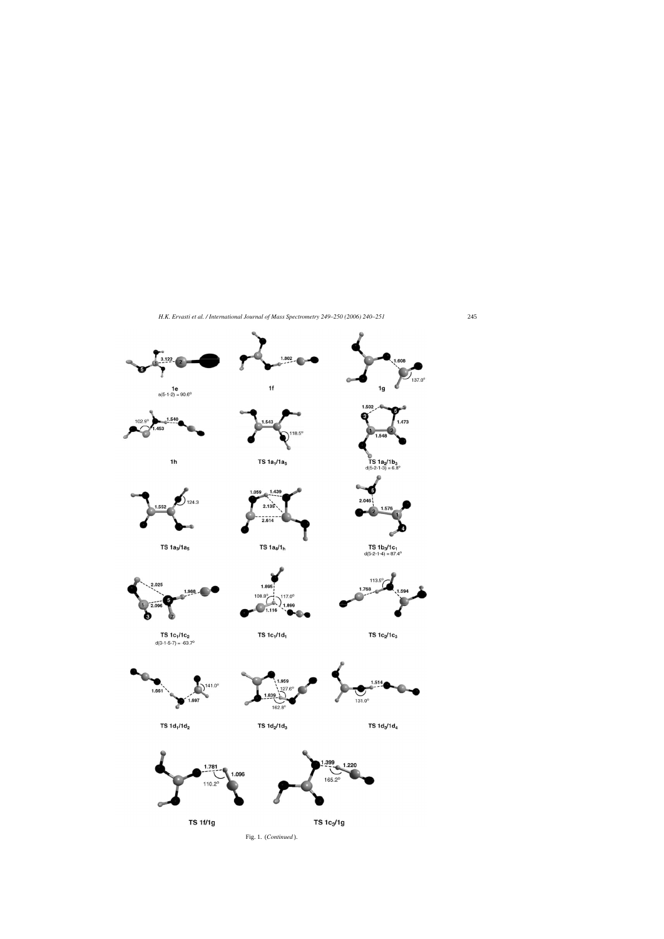

Fig. 1. (*Continued* ).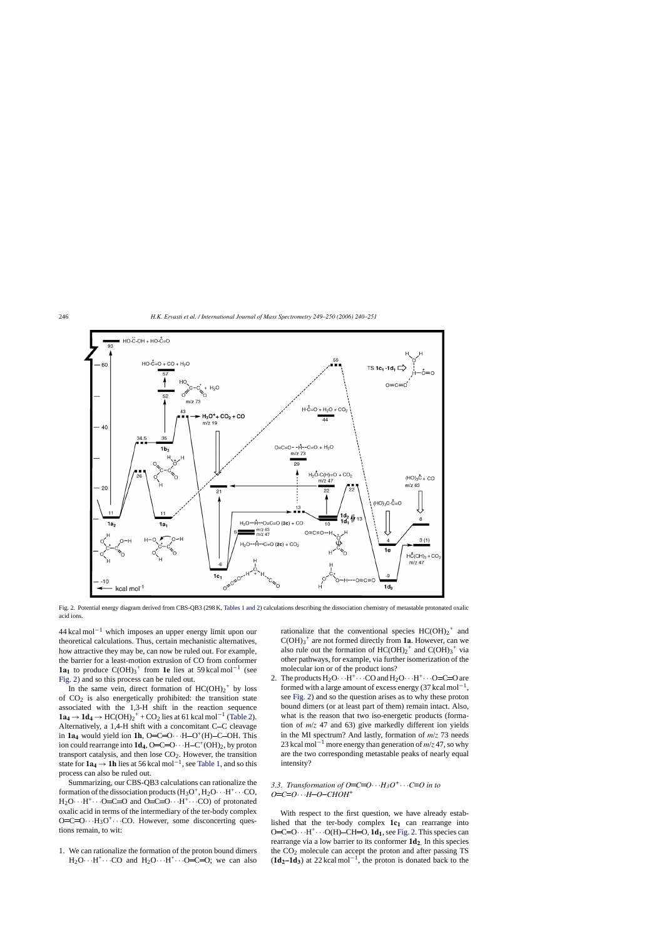<span id="page-6-0"></span>

Fig. 2. Potential energy diagram derived from CBS-QB3 (298 K, [Tables 1 and 2\) c](#page-2-0)alculations describing the dissociation chemistry of metastable protonated oxalic acid ions.

 $44$  kcal mol<sup>-1</sup> which imposes an upper energy limit upon our theoretical calculations. Thus, certain mechanistic alternatives, how attractive they may be, can now be ruled out. For example, the barrier for a least-motion extrusion of CO from conformer **1a<sub>1</sub>** to produce  $C(OH)_3$ <sup>+</sup> from **1e** lies at 59 kcal mol<sup>-1</sup> (see Fig. 2) and so this process can be ruled out.

In the same vein, direct formation of  $HC(OH)_2^+$  by loss of  $CO<sub>2</sub>$  is also energetically prohibited: the transition state associated with the 1,3-H shift in the reaction sequence **1a<sub>4</sub>** → **1d<sub>4</sub>** → HC(OH)<sub>2</sub><sup>+</sup> + CO<sub>2</sub> lies at 61 kcal mol<sup>-1</sup> [\(Table 2\).](#page-3-0) Alternatively, a 1,4-H shift with a concomitant  $C-C$  cleavage in  $1a_4$  would yield ion 1h, O=C=O···H-O<sup>+</sup>(H)-C-OH. This ion could rearrange into  $1d_4$ , O=C=O···H-C<sup>+</sup>(OH)<sub>2</sub>, by proton transport catalysis, and then lose  $CO<sub>2</sub>$ . However, the transition state for **1a4** <sup>→</sup>**1h** lies at 56 kcal mol−1, see [Table 1, a](#page-2-0)nd so this process can also be ruled out.

Summarizing, our CBS-QB3 calculations can rationalize the formation of the dissociation products  $(H_3O^+, H_2O \cdots H^+ \cdots CO)$ ,  $H_2O \cdots H^+ \cdots O=C=O$  and  $O=C=O \cdots H^+ \cdots CO$  of protonated oxalic acid in terms of the intermediary of the ter-body complex  $O=C=O \cdot \cdot H_3O^+ \cdot \cdot \cdot CO$ . However, some disconcerting questions remain, to wit:

1. We can rationalize the formation of the proton bound dimers  $H_2O\cdots H^+\cdots CO$  and  $H_2O\cdots H^+\cdots O=C=O$ ; we can also

rationalize that the conventional species  $HC(OH)_2^+$  and  $C(OH)<sub>3</sub><sup>+</sup>$  are not formed directly from **1a**. However, can we also rule out the formation of  $HC(OH)_2^+$  and  $C(OH)_3^+$  via other pathways, for example, via further isomerization of the molecular ion or of the product ions?

2. The products  $H_2O \cdot H^+ \cdot \cdot CO$  and  $H_2O \cdot \cdot \cdot H^+ \cdot \cdot \cdot O=C=O$  are formed with a large amount of excess energy  $(37 \text{ kcal mol}^{-1})$ , see Fig. 2) and so the question arises as to why these proton bound dimers (or at least part of them) remain intact. Also, what is the reason that two iso-energetic products (formation of *m*/*z* 47 and 63) give markedly different ion yields in the MI spectrum? And lastly, formation of *m*/*z* 73 needs 23 kcal mol−<sup>1</sup> more energy than generation of *m*/*z* 47, so why are the two corresponding metastable peaks of nearly equal intensity?

# *3.3. Transformation of O*=C=O $\cdot \cdot$ *H<sub>3</sub>O*<sup>+</sup> $\cdot \cdot$ *C*=O *in to <sup>O</sup> <sup>C</sup> <sup>O</sup>*···*<sup>H</sup> <sup>O</sup> CHOH<sup>+</sup>*

With respect to the first question, we have already established that the ter-body complex  $1c_1$  can rearrange into O=C=O $\cdot \cdot \cdot$ H<sup>+</sup> $\cdot \cdot \cdot$ O(H)–CH=O, **1d**<sub>1</sub>, see Fig. 2. This species can rearrange via a low barrier to its conformer **1d2**. In this species the  $CO<sub>2</sub>$  molecule can accept the proton and after passing TS  $(\mathbf{1d}_2 - \mathbf{1d}_3)$  at 22 kcal mol<sup>-1</sup>, the proton is donated back to the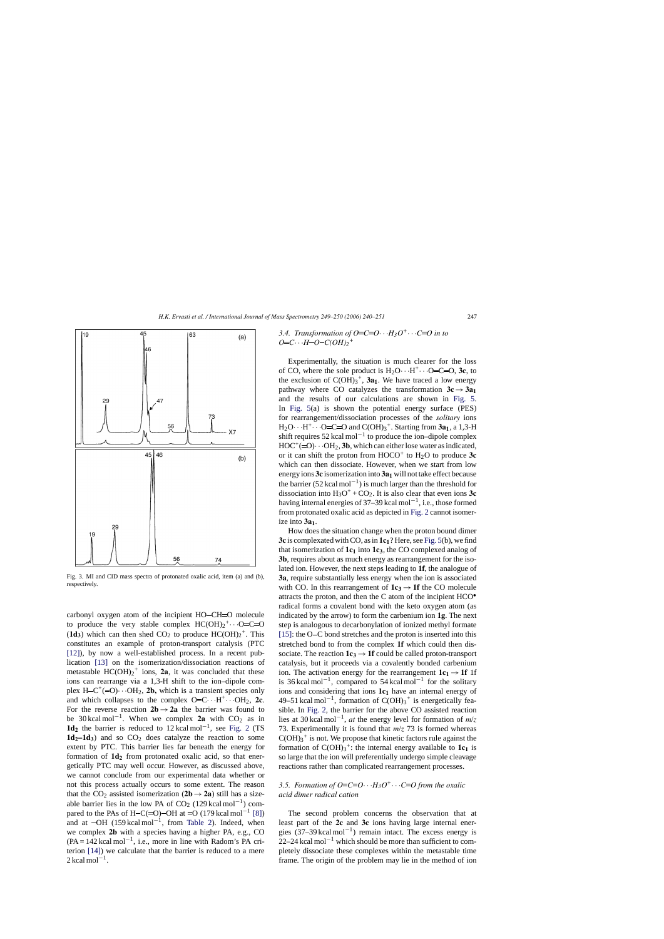<span id="page-7-0"></span>

Fig. 3. MI and CID mass spectra of protonated oxalic acid, item (a) and (b), respectively.

carbonyl oxygen atom of the incipient HO-CH=O molecule to produce the very stable complex  $HC(OH)_2^+ \cdots O=C=O$  $(1d_3)$  which can then shed CO<sub>2</sub> to produce  $HC(OH)_2^+$ . This constitutes an example of proton-transport catalysis (PTC [\[12\]\),](#page-11-0) by now a well-established process. In a recent publication [\[13\]](#page-11-0) on the isomerization/dissociation reactions of metastable  $HC(OH)_2^+$  ions, **2a**, it was concluded that these ions can rearrange via a 1,3-H shift to the ion–dipole complex H–C<sup>+</sup>(=O)···OH<sub>2</sub>, **2b**, which is a transient species only and which collapses to the complex  $O=C \cdots H^+ \cdots OH_2$ , 2c. For the reverse reaction  $2b \rightarrow 2a$  the barrier was found to be 30 kcal mol<sup>-1</sup>. When we complex **2a** with  $CO_2$  as in  $1d_2$  the barrier is reduced to 12 kcal mol<sup>-1</sup>, see [Fig. 2](#page-6-0) (TS  $1d_2-1d_3$ ) and so  $CO_2$  does catalyze the reaction to some extent by PTC. This barrier lies far beneath the energy for formation of  $1d_2$  from protonated oxalic acid, so that energetically PTC may well occur. However, as discussed above, we cannot conclude from our experimental data whether or not this process actually occurs to some extent. The reason that the CO<sub>2</sub> assisted isomerization  $(2b \rightarrow 2a)$  still has a sizeable barrier lies in the low PA of  $CO_2$  (129 kcal mol<sup>-1</sup>) com-pared to the PAs of H-C(=O)-OH at =O (179 kcal mol<sup>-1</sup> [\[8\]\)](#page-11-0) and at  $-OH$  (159 kcal mol<sup>-1</sup>, from [Table 2\)](#page-3-0). Indeed, when we complex **2b** with a species having a higher PA, e.g., CO  $(PA = 142 \text{ kcal mol}^{-1}$ , i.e., more in line with Radom's PA criterion [\[14\]\)](#page-11-0) we calculate that the barrier is reduced to a mere  $2$  kcal mol<sup>-1</sup>.

# *3.4. Transformation of O*=C= $O \cdot \cdot H_3O^+ \cdot \cdot \cdot C = O$  in to  $O=C \cdot \cdot \cdot H - O - C(OH)_2^+$

Experimentally, the situation is much clearer for the loss of CO, where the sole product is  $H_2O \cdot H^+ \cdot \cdot O=C=O$ , **3c**, to the exclusion of  $C(OH)<sub>3</sub><sup>+</sup>$ , **3a**<sub>1</sub>. We have traced a low energy pathway where CO catalyzes the transformation  $3c \rightarrow 3a_1$ and the results of our calculations are shown in [Fig. 5.](#page-9-0) In [Fig. 5\(](#page-9-0)a) is shown the potential energy surface (PES) for rearrangement/dissociation processes of the *solitary* ions  $H_2O \cdot H^+ \cdot \cdot O=C=O$  and  $C(OH)_3^+$ . Starting from  $3a_1$ , a 1,3-H shift requires  $52 \text{ kcal mol}^{-1}$  to produce the ion–dipole complex  $HOC^+ (=O) \cdot \cdot \cdot OH_2$ , **3b**, which can either lose water as indicated, or it can shift the proton from  $HOCO<sup>+</sup>$  to  $H<sub>2</sub>O$  to produce  $3c$ which can then dissociate. However, when we start from low energy ions **3c** isomerization into **3a**<sub>1</sub> will not take effect because the barrier (52 kcal mol<sup>-1</sup>) is much larger than the threshold for dissociation into  $H_3O^+$  + CO<sub>2</sub>. It is also clear that even ions **3c** having internal energies of 37–39 kcal mol<sup>-1</sup>, i.e., those formed from protonated oxalic acid as depicted in [Fig. 2](#page-6-0) cannot isomerize into  $3a_1$ .

How does the situation change when the proton bound dimer **3c** is complexated with CO, as in **1c1**? Here, see [Fig. 5\(b](#page-9-0)), we find that isomerization of  $1c<sub>1</sub>$  into  $1c<sub>3</sub>$ , the CO complexed analog of **3b**, requires about as much energy as rearrangement for the isolated ion. However, the next steps leading to **1f**, the analogue of **3a**, require substantially less energy when the ion is associated with CO. In this rearrangement of  $1c_3 \rightarrow 1f$  the CO molecule attracts the proton, and then the C atom of the incipient HCO• radical forms a covalent bond with the keto oxygen atom (as indicated by the arrow) to form the carbenium ion **1g**. The next step is analogous to decarbonylation of ionized methyl formate [\[15\]:](#page-11-0) the O–C bond stretches and the proton is inserted into this stretched bond to from the complex **1f** which could then dissociate. The reaction  $1c_3 \rightarrow 1f$  could be called proton-transport catalysis, but it proceeds via a covalently bonded carbenium ion. The activation energy for the rearrangement  $1c_1 \rightarrow 1f$  1f is 36 kcal mol<sup>-1</sup>, compared to 54 kcal mol<sup>-1</sup> for the solitary ions and considering that ions  $1c<sub>1</sub>$  have an internal energy of 49–51 kcal mol<sup>-1</sup>, formation of  $C(OH)<sub>3</sub><sup>+</sup>$  is energetically feasible. In [Fig. 2,](#page-6-0) the barrier for the above CO assisted reaction lies at 30 kcal mol−1, *at* the energy level for formation of *m*/*z* 73. Experimentally it is found that *m*/*z* 73 is formed whereas  $C(OH)<sub>3</sub>$ <sup>+</sup> is not. We propose that kinetic factors rule against the formation of  $C(OH)<sub>3</sub><sup>+</sup>$ : the internal energy available to  $1c<sub>1</sub>$  is so large that the ion will preferentially undergo simple cleavage reactions rather than complicated rearrangement processes.

# *3.5. Formation of O*=C= $O \cdot \cdot \cdot H_3O^+ \cdot \cdot \cdot C = O$  from the oxalic *acid dimer radical cation*

The second problem concerns the observation that at least part of the **2c** and **3c** ions having large internal energies  $(37–39 \text{ kcal mol}^{-1})$  remain intact. The excess energy is 22–24 kcal mol<sup>-1</sup> which should be more than sufficient to completely dissociate these complexes within the metastable time frame. The origin of the problem may lie in the method of ion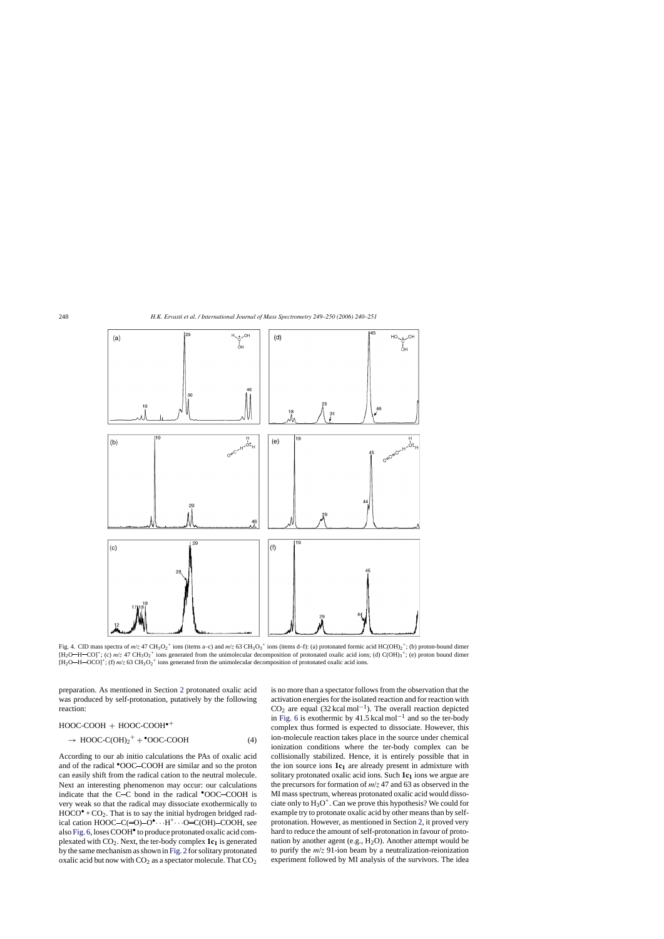<span id="page-8-0"></span>

Fig. 4. CID mass spectra of  $m/z$  47 CH<sub>3</sub>O<sub>2</sub><sup>+</sup> ions (items a–c) and  $m/z$  63 CH<sub>3</sub>O<sub>3</sub><sup>+</sup> ions (items d–f): (a) protonated formic acid HC(OH)<sub>2</sub><sup>+</sup>; (b) proton-bound dimer  $[H_2O-H-CO]^+$ ; (c)  $m/z$  47 CH<sub>3</sub>O<sub>2</sub><sup>+</sup> ions generated from the unimolecular decomposition of protonated oxalic acid ions; (d) C(OH)<sub>3</sub><sup>+</sup>; (e) proton bound dimer  $[H_2O-H-OCO]^+$ ; (f)  $m/z$  63  $CH_3O_2^+$  ions generated from the unimolecular decomposition of protonated oxalic acid ions.

preparation. As mentioned in Section [2](#page-1-0) protonated oxalic acid was produced by self-protonation, putatively by the following reaction:

HOOC-COOH + HOOC-COOH•+

$$
\rightarrow \text{HOOC-C(OH)}_{2}^{+} + \text{°OOC-COOH} \tag{4}
$$

According to our ab initio calculations the PAs of oxalic acid and of the radical **\*OOC-COOH** are similar and so the proton can easily shift from the radical cation to the neutral molecule. Next an interesting phenomenon may occur: our calculations indicate that the  $C-C$  bond in the radical  $°OOC-COOH$  is very weak so that the radical may dissociate exothermically to  $HOCO^{\bullet} + CO_2$ . That is to say the initial hydrogen bridged radical cation  $HOOC-C(=O)-O^{\bullet}\cdots H^+\cdots O=C(OH)-COOH$ , see also [Fig. 6, l](#page-10-0)oses COOH• to produce protonated oxalic acid complexated with CO2. Next, the ter-body complex **1c1** is generated by the same mechanism as shown in [Fig. 2](#page-6-0) for solitary protonated oxalic acid but now with  $CO<sub>2</sub>$  as a spectator molecule. That  $CO<sub>2</sub>$ 

is no more than a spectator follows from the observation that the activation energies for the isolated reaction and for reaction with  $CO<sub>2</sub>$  are equal (32 kcal mol<sup>-1</sup>). The overall reaction depicted in [Fig. 6](#page-10-0) is exothermic by 41.5 kcal mol<sup>-1</sup> and so the ter-body complex thus formed is expected to dissociate. However, this ion-molecule reaction takes place in the source under chemical ionization conditions where the ter-body complex can be collisionally stabilized. Hence, it is entirely possible that in the ion source ions  $1c<sub>1</sub>$  are already present in admixture with solitary protonated oxalic acid ions. Such 1c<sub>1</sub> ions we argue are the precursors for formation of *m*/*z* 47 and 63 as observed in the MI mass spectrum, whereas protonated oxalic acid would dissociate only to  $H_3O^+$ . Can we prove this hypothesis? We could for example try to protonate oxalic acid by other means than by selfprotonation. However, as mentioned in Section [2, i](#page-1-0)t proved very hard to reduce the amount of self-protonation in favour of protonation by another agent (e.g.,  $H_2O$ ). Another attempt would be to purify the *m*/*z* 91-ion beam by a neutralization-reionization experiment followed by MI analysis of the survivors. The idea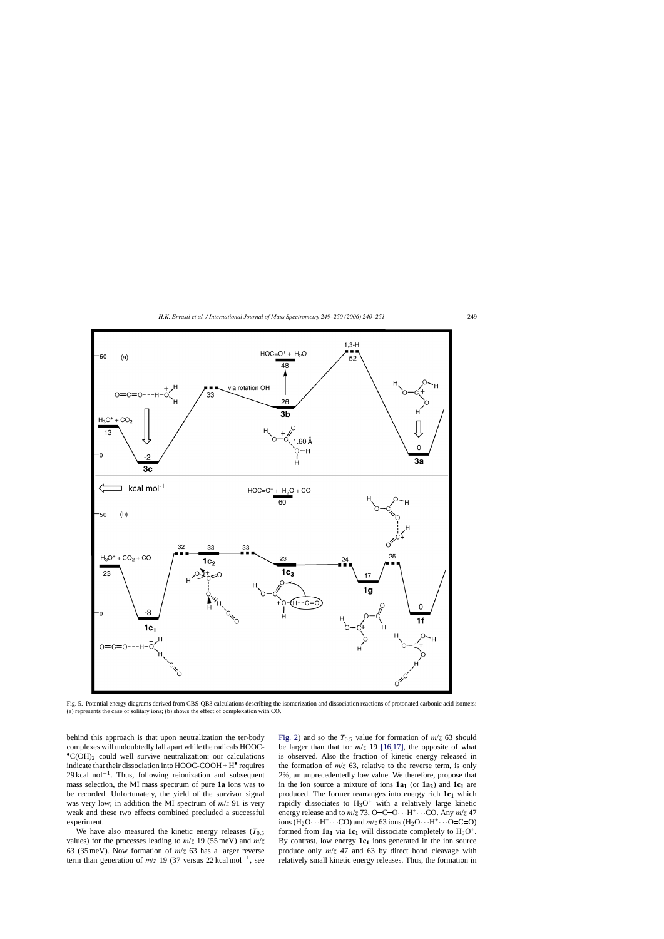<span id="page-9-0"></span>

Fig. 5. Potential energy diagrams derived from CBS-QB3 calculations describing the isomerization and dissociation reactions of protonated carbonic acid isomers: (a) represents the case of solitary ions; (b) shows the effect of complexation with CO.

behind this approach is that upon neutralization the ter-body complexes will undoubtedly fall apart while the radicals HOOC-  $^{\bullet}$ C(OH)<sub>2</sub> could well survive neutralization: our calculations indicate that their dissociation into  $HOOC-COOH + H<sup>•</sup>$  requires  $29 \text{ kcal mol}^{-1}$ . Thus, following reionization and subsequent mass selection, the MI mass spectrum of pure **1a** ions was to be recorded. Unfortunately, the yield of the survivor signal was very low; in addition the MI spectrum of *m*/*z* 91 is very weak and these two effects combined precluded a successful experiment.

We have also measured the kinetic energy releases  $(T<sub>0.5</sub>)$ values) for the processes leading to  $m/z$  19 (55 meV) and  $m/z$ 63 (35 meV). Now formation of *m*/*z* 63 has a larger reverse term than generation of  $m/z$  19 (37 versus 22 kcal mol<sup>-1</sup>, see

[Fig. 2\)](#page-6-0) and so the  $T_{0.5}$  value for formation of  $m/z$  63 should be larger than that for  $m/z$  19 [\[16,17\],](#page-11-0) the opposite of what is observed. Also the fraction of kinetic energy released in the formation of  $m/z$  63, relative to the reverse term, is only 2%, an unprecedentedly low value. We therefore, propose that in the ion source a mixture of ions  $1a_1$  (or  $1a_2$ ) and  $1c_1$  are produced. The former rearranges into energy rich  $1c<sub>1</sub>$  which rapidly dissociates to  $H_3O^+$  with a relatively large kinetic energy release and to  $m/z$  73, O=C=O···H<sup>+</sup>···CO. Any  $m/z$  47 ions (H<sub>2</sub>O···H<sup>+</sup>···CO) and  $m/z$  63 ions (H<sub>2</sub>O···H<sup>+</sup>···O=C=O) formed from  $1a_1$  via  $1c_1$  will dissociate completely to  $H_3O^+$ . By contrast, low energy  $1c<sub>1</sub>$  ions generated in the ion source produce only *m*/*z* 47 and 63 by direct bond cleavage with relatively small kinetic energy releases. Thus, the formation in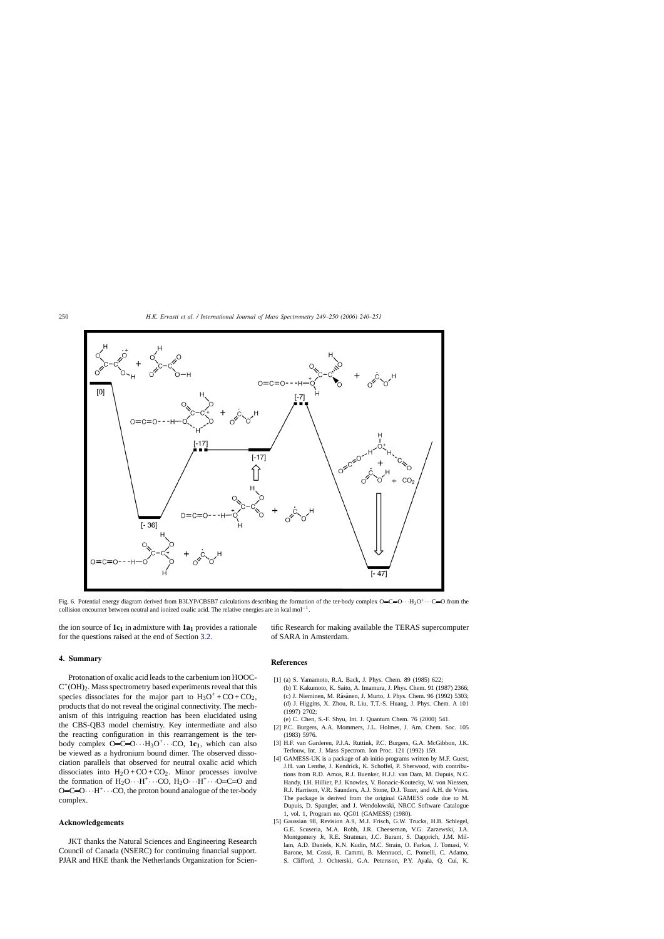<span id="page-10-0"></span>

Fig. 6. Potential energy diagram derived from B3LYP/CBSB7 calculations describing the formation of the ter-body complex  $O=C=O \cdot \cdot H_3O^+ \cdot \cdot \cdot C=O$  from the collision encounter between neutral and ionized oxalic acid. The relative energies are in kcal mol<sup>-1</sup>.

the ion source of  $1c_1$  in admixture with  $1a_1$  provides a rationale for the questions raised at the end of Section [3.2.](#page-1-0)

## **4. Summary**

Protonation of oxalic acid leads to the carbenium ion HOOC- $C^+({\rm OH})_2$ . Mass spectrometry based experiments reveal that this species dissociates for the major part to  $H_3O^+$ +CO+CO<sub>2</sub>, products that do not reveal the original connectivity. The mechanism of this intriguing reaction has been elucidated using the CBS-QB3 model chemistry. Key intermediate and also the reacting configuration in this rearrangement is the terbody complex  $O=C=O \cdots H_3O^+ \cdots CO$ , **1c**<sub>1</sub>, which can also be viewed as a hydronium bound dimer. The observed dissociation parallels that observed for neutral oxalic acid which dissociates into  $H_2O + CO + CO_2$ . Minor processes involve the formation of  $H_2O \cdots H^+ \cdots CO$ ,  $H_2O \cdots H^+ \cdots O=C=O$  and  $O=C=O \cdot H^+ \cdot \cdot CO$ , the proton bound analogue of the ter-body complex.

#### **Acknowledgements**

JKT thanks the Natural Sciences and Engineering Research Council of Canada (NSERC) for continuing financial support. PJAR and HKE thank the Netherlands Organization for Scientific Research for making available the TERAS supercomputer of SARA in Amsterdam.

### **References**

- [1] (a) S. Yamamoto, R.A. Back, J. Phys. Chem. 89 (1985) 622;
- (b) T. Kakumoto, K. Saito, A. Imamura, J. Phys. Chem. 91 (1987) 2366; (c) J. Nieminen, M. Räsänen, J. Murto, J. Phys. Chem. 96 (1992) 5303; (d) J. Higgins, X. Zhou, R. Liu, T.T.-S. Huang, J. Phys. Chem. A 101 (1997) 2702;
- (e) C. Chen, S.-F. Shyu, Int. J. Quantum Chem. 76 (2000) 541.
- [2] P.C. Burgers, A.A. Mommers, J.L. Holmes, J. Am. Chem. Soc. 105 (1983) 5976.
- [3] H.F. van Garderen, P.J.A. Ruttink, P.C. Burgers, G.A. McGibbon, J.K. Terlouw, Int. J. Mass Spectrom. Ion Proc. 121 (1992) 159.
- [4] GAMESS-UK is a package of ab initio programs written by M.F. Guest, J.H. van Lenthe, J. Kendrick, K. Schoffel, P. Sherwood, with contributions from R.D. Amos, R.J. Buenker, H.J.J. van Dam, M. Dupuis, N.C. Handy, I.H. Hillier, P.J. Knowles, V. Bonacic-Koutecky, W. von Niessen, R.J. Harrison, V.R. Saunders, A.J. Stone, D.J. Tozer, and A.H. de Vries. The package is derived from the original GAMESS code due to M. Dupuis, D. Spangler, and J. Wendolowski, NRCC Software Catalogue 1, vol. 1, Program no. QG01 (GAMESS) (1980).
- [5] Gaussian 98, Revision A.9, M.J. Frisch, G.W. Trucks, H.B. Schlegel, G.E. Scuseria, M.A. Robb, J.R. Cheeseman, V.G. Zarzewski, J.A. Montgomery Jr, R.E. Stratman, J.C. Burant, S. Dapprich, J.M. Millam, A.D. Daniels, K.N. Kudin, M.C. Strain, O. Farkas, J. Tomasi, V. Barone, M. Cossi, R. Cammi, B. Mennucci, C. Pomelli, C. Adamo, S. Clifford, J. Ochterski, G.A. Petersson, P.Y. Ayala, Q. Cui, K.